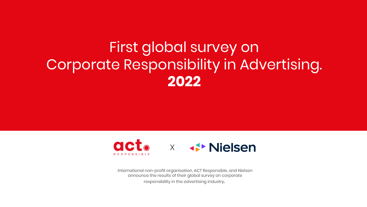### First global survey on Corporate Responsibility in Advertising. **2022**



International non-profit organisation, ACT Responsible, and Nielsen announce the results of their global survey on corporate responsibility in the advertising industry.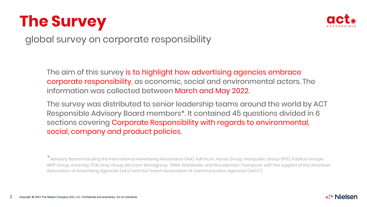### **The Survey**



global survey on corporate responsibility

The aim of this survey is to highlight how advertising agencies embrace corporate responsibility, as economic, social and environmental actors. The information was collected between March and May 2022.

The survey was distributed to senior leadership teams around the world by ACT Responsible Advisory Board members\*. It contained 45 questions divided in 6 sections covering Corporate Responsibility with regards to environmental, social, company and product policies.

\*Advisory Board including the International Advertising Association (IAA), AdForum, Havas Group, Interpublic Group (IPG), Publicis Groupe, WPP Group, Anomaly, FCB, Grey Group, McCann Worldgroup, TBWA Worldwide, and Wunderman Thompson, with the support of the American Association of Advertising Agencies (4A's) and the French Association of Communication Agencies (AACC).

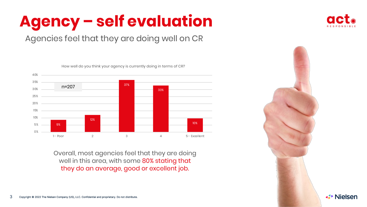

### Agencies feel that they are doing well on CR



Overall, most agencies feel that they are doing well in this area, with some 80% stating that they do an average, good or excellent job.

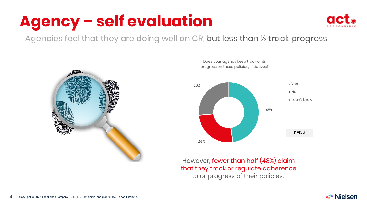

Agencies feel that they are doing well on CR, but less than ½ track progress





However, fewer than half (48%) claim that they track or regulate adherence to or progress of their policies.

Does your agency keep track of its

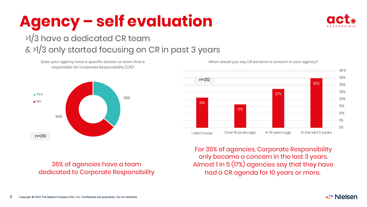

### >1/3 have a dedicated CR team

### & >1/3 only started focusing on CR in past 3 years

Does your agency have a specific division or team that is responsible for Corporate Responsibility (CR)?



36% of agencies have a team dedicated to Corporate Responsibility



For 35% of agencies, Corporate Responsibility only became a concern in the last 3 years. Almost 1 in 5 (17%) agencies say that they have had a CR agenda for 10 years or more.

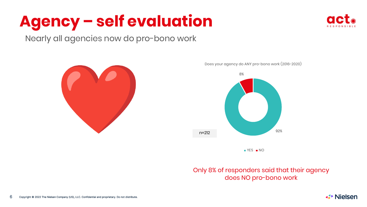

Nearly all agencies now do pro-bono work



Does your agency do ANY pro-bono work (2016-2020)



#### Only 8% of responders said that their agency does NO pro-bono work

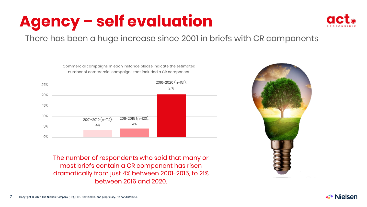

#### There has been a huge increase since 2001 in briefs with CR components



Commercial campaigns: In each instance please indicate the estimated

The number of respondents who said that many or most briefs contain a CR component has risen dramatically from just 4% between 2001-2015, to 21% between 2016 and 2020.



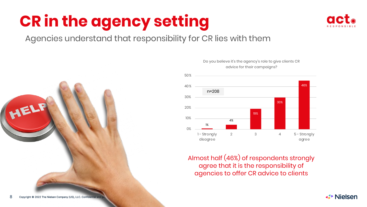

**⊀▶ Nielsen** 

#### Agencies understand that responsibility for CR lies with them



#### Do you believe it's the agency's role to give clients CR advice for their campaigns?



Almost half (46%) of respondents strongly agree that it is the responsibility of agencies to offer CR advice to clients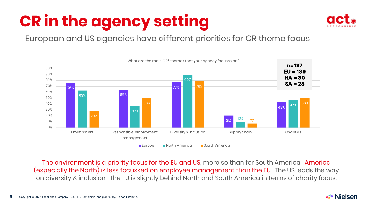

European and US agencies have different priorities for CR theme focus



The environment is a priority focus for the EU and US, more so than for South America. America (especially the North) is less focussed on employee management than the EU. The US leads the way on diversity & inclusion. The EU is slightly behind North and South America in terms of charity focus.

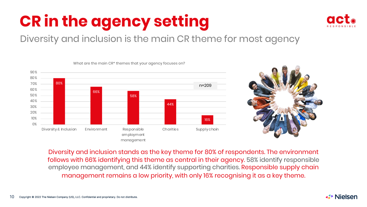

### Diversity and inclusion is the main CR theme for most agency

What are the main CR\* themes that your agency focuses on?





Diversity and inclusion stands as the key theme for 80% of respondents. The environment follows with 66% identifying this theme as central in their agency. 58% identify responsible employee management, and 44% identify supporting charities. Responsible supply chain management remains a low priority, with only 16% recognising it as a key theme.

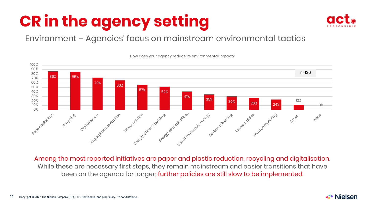

#### Environment – Agencies' focus on mainstream environmental tactics



How does your agency reduce its environmental impact?

Among the most reported initiatives are paper and plastic reduction, recycling and digitalisation. While these are necessary first steps, they remain mainstream and easier transitions that have been on the agenda for longer; further policies are still slow to be implemented.

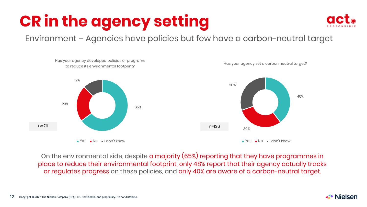

#### Environment – Agencies have policies but few have a carbon-neutral target



On the environmental side, despite a majority (65%) reporting that they have programmes in place to reduce their environmental footprint, only 48% report that their agency actually tracks or regulates progress on these policies, and only 40% are aware of a carbon-neutral target.

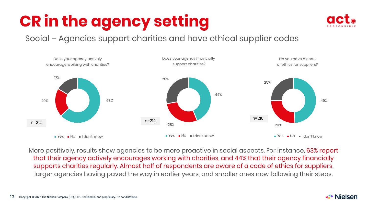

#### Social – Agencies support charities and have ethical supplier codes



More positively, results show agencies to be more proactive in social aspects. For instance, 63% report that their agency actively encourages working with charities, and 44% that their agency financially supports charities regularly. Almost half of respondents are aware of a code of ethics for suppliers, larger agencies having paved the way in earlier years, and smaller ones now following their steps.

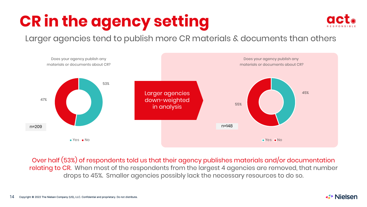

### Larger agencies tend to publish more CR materials & documents than others



Over half (53%) of respondents told us that their agency publishes materials and/or documentation relating to CR. When most of the respondents from the largest 4 agencies are removed, that number drops to 45%. Smaller agencies possibly lack the necessary resources to do so.

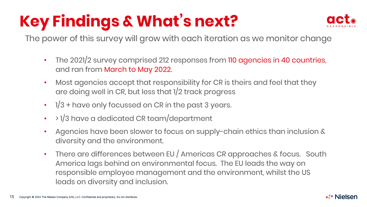## **Key Findings & What's next?**



The power of this survey will grow with each iteration as we monitor change

- The 2021/2 survey comprised 212 responses from 110 agencies in 40 countries, and ran from March to May 2022.
- Most agencies accept that responsibility for CR is theirs and feel that they are doing well in CR, but less that 1/2 track progress
- 1/3 + have only focussed on CR in the past 3 years.
- > 1/3 have a dedicated CR team/department
- Agencies have been slower to focus on supply-chain ethics than inclusion & diversity and the environment.
- There are differences between EU / Americas CR approaches & focus. South America lags behind on environmental focus. The EU leads the way on responsible employee management and the environment, whilst the US leads on diversity and inclusion.

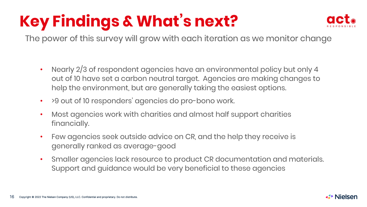## **Key Findings & What's next?**



The power of this survey will grow with each iteration as we monitor change

- Nearly 2/3 of respondent agencies have an environmental policy but only 4 out of 10 have set a carbon neutral target. Agencies are making changes to help the environment, but are generally taking the easiest options.
- > 9 out of 10 responders' agencies do pro-bono work.
- Most agencies work with charities and almost half support charities financially.
- Few agencies seek outside advice on CR, and the help they receive is generally ranked as average-good
- Smaller agencies lack resource to product CR documentation and materials. Support and guidance would be very beneficial to these agencies

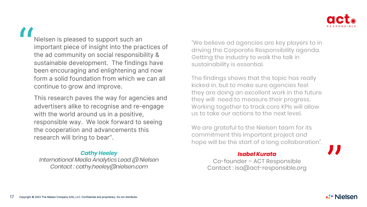

Nielsen is pleased to support such an important piece of insight into the practices of the ad community on social responsibility & sustainable development. The findings have been encouraging and enlightening and now form a solid foundation from which we can all continue to grow and improve. "

This research paves the way for agencies and advertisers alike to recognise and re-engage with the world around us in a positive, responsible way. We look forward to seeing the cooperation and advancements this research will bring to bear".

#### *Cathy Heeley*

*International Media Analytics Lead @ Nielsen Contact : cathy.heeley@nielsen.com*

"We believe ad agencies are key players to in driving the Corporate Responsibility agenda. Getting the industry to walk the talk in sustainability is essential.

The findings shows that the topic has really kicked in, but to make sure agencies feel they are doing an excellent work in the future they will need to measure their progress. Working together to track core KPIs will allow us to take our actions to the next level.

We are grateful to the Nielsen team for its commitment this important project and hope will be the start of a long collaboration".

#### *Isabel Kurata*

Co-founder – ACT Responsible Contact : isa@act-responsible.org



"